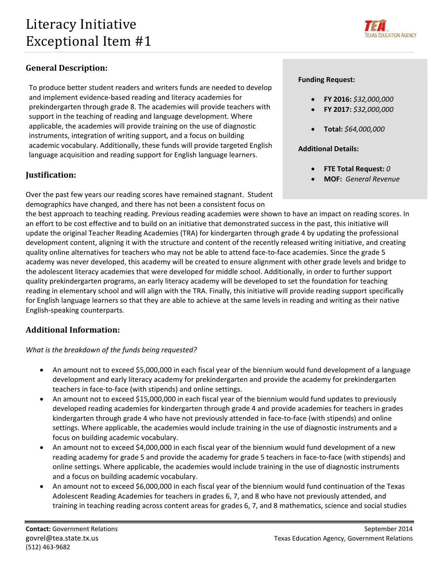

# **General Description:**

 To produce better student readers and writers funds are needed to develop and implement evidence‐based reading and literacy academies for prekindergarten through grade 8. The academies will provide teachers with support in the teaching of reading and language development. Where applicable, the academies will provide training on the use of diagnostic instruments, integration of writing support, and a focus on building academic vocabulary. Additionally, these funds will provide targeted English language acquisition and reading support for English language learners.

## **Iustification:**

 Over the past few years our reading scores have remained stagnant. Student demographics have changed, and there has not been a consistent focus on

 the best approach to teaching reading. Previous reading academies were shown to have an impact on reading scores. In an effort to be cost effective and to build on an initiative that demonstrated success in the past, this initiative will update the original Teacher Reading Academies (TRA) for kindergarten through grade 4 by updating the professional development content, aligning it with the structure and content of the recently released writing initiative, and creating quality online alternatives for teachers who may not be able to attend face‐to‐face academies. Since the grade 5 academy was never developed, this academy will be created to ensure alignment with other grade levels and bridge to the adolescent literacy academies that were developed for middle school. Additionally, in order to further support quality prekindergarten programs, an early literacy academy will be developed to set the foundation for teaching reading in elementary school and will align with the TRA. Finally, this initiative will provide reading support specifically for English language learners so that they are able to achieve at the same levels in reading and writing as their native English‐speaking counterparts.

# **Additional Information:**

 *What is the breakdown of the funds being requested?*

- An amount not to exceed \$5,000,000 in each fiscal year of the biennium would fund development of a language development and early literacy academy for prekindergarten and provide the academy for prekindergarten teachers in face‐to‐face (with stipends) and online settings.
- An amount not to exceed \$15,000,000 in each fiscal year of the biennium would fund updates to previously developed reading academies for kindergarten through grade 4 and provide academies for teachers in grades kindergarten through grade 4 who have not previously attended in face‐to‐face (with stipends) and online settings. Where applicable, the academies would include training in the use of diagnostic instruments and a focus on building academic vocabulary.
- An amount not to exceed \$4,000,000 in each fiscal year of the biennium would fund development of a new reading academy for grade 5 and provide the academy for grade 5 teachers in face‐to‐face (with stipends) and online settings. Where applicable, the academies would include training in the use of diagnostic instruments and a focus on building academic vocabulary.
- An amount not to exceed \$6,000,000 in each fiscal year of the biennium would fund continuation of the Texas Adolescent Reading Academies for teachers in grades 6, 7, and 8 who have not previously attended, and training in teaching reading across content areas for grades 6, 7, and 8 mathematics, science and social studies

## **Funding Request:**

- **FY 2016:** *\$32,000,000*
- **FY 2017:** *\$32,000,000*
- **Total:** *\$64,000,000*

## **Additional Details:**

- **FTE Total Request:** *0*
- **MOF:** *General Revenue*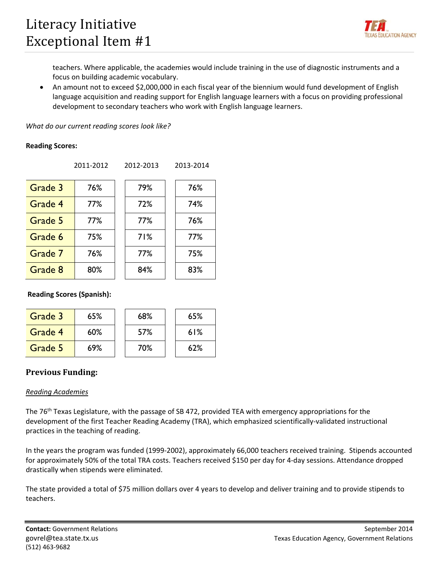

 teachers. Where applicable, the academies would include training in the use of diagnostic instruments and a focus on building academic vocabulary.

 An amount not to exceed \$2,000,000 in each fiscal year of the biennium would fund development of English language acquisition and reading support for English language learners with a focus on providing professional development to secondary teachers who work with English language learners.

 *What do our current reading scores look like?*

#### **Reading Scores:**

| 79 |
|----|
| 72 |
| 77 |
| 71 |
| 77 |
|    |
|    |

|         | 2011-2012 | 2012-2013 | 2013-2014 |
|---------|-----------|-----------|-----------|
| Grade 3 | 76%       | 79%       | 76%       |
| Grade 4 | 77%       | 72%       | 74%       |
| Grade 5 | 77%       | 77%       | 76%       |
| Grade 6 | 75%       | 71%       | 77%       |
| Grade 7 | 76%       | 77%       | 75%       |
| Grade 8 | 80%       | 84%       | 83%       |

**Reading Scores (Spanish):** 

| Grade 3 | 65% | 68% | 65% |
|---------|-----|-----|-----|
| Grade 4 | 60% | 57% | 61% |
| Grade 5 | 69% | 70% | 62% |

## **Previous Funding**:

## *Reading Academies*

The 76<sup>th</sup> Texas Legislature, with the passage of SB 472, provided TEA with emergency appropriations for the development of the first Teacher Reading Academy (TRA), which emphasized scientifically‐validated instructional practices in the teaching of reading.

 In the years the program was funded (1999‐2002), approximately 66,000 teachers received training. Stipends accounted for approximately 50% of the total TRA costs. Teachers received \$150 per day for 4‐day sessions. Attendance dropped drastically when stipends were eliminated.

 The state provided a total of \$75 million dollars over 4 years to develop and deliver training and to provide stipends to teachers.